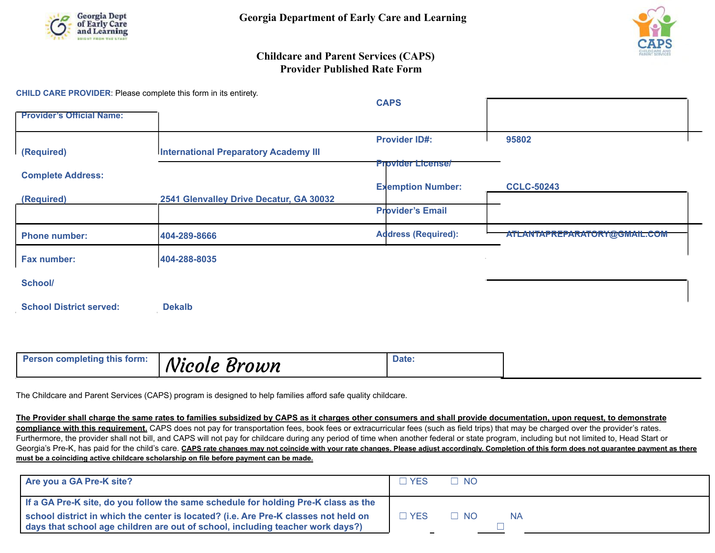



## **Childcare and Parent Services (CAPS) Provider Published Rate Form**

**CHILD CARE PROVIDER**: Please complete this form in its entirety.

|                                  |                                              | <b>CAPS</b>                |                              |
|----------------------------------|----------------------------------------------|----------------------------|------------------------------|
| <b>Provider's Official Name:</b> |                                              |                            |                              |
|                                  |                                              | <b>Provider ID#:</b>       | 95802                        |
| (Required)                       | <b>International Preparatory Academy III</b> |                            |                              |
|                                  |                                              | <b>Provider License/</b>   |                              |
| <b>Complete Address:</b>         |                                              |                            |                              |
|                                  |                                              | <b>Exemption Number:</b>   | <b>CCLC-50243</b>            |
| (Required)                       | 2541 Glenvalley Drive Decatur, GA 30032      |                            |                              |
|                                  |                                              | <b>Provider's Email</b>    |                              |
| <b>Phone number:</b>             | 404-289-8666                                 | <b>Address (Required):</b> | ATLANTAPREPARATORY@GMAIL.COM |
| Fax number:                      | 404-288-8035                                 |                            |                              |
| School/                          |                                              |                            |                              |
| <b>School District served:</b>   | <b>Dekalb</b>                                |                            |                              |

| <b>Person completing this form:</b><br>Date:<br><sup>'</sup> Nicole Brown |  |
|---------------------------------------------------------------------------|--|
|---------------------------------------------------------------------------|--|

The Childcare and Parent Services (CAPS) program is designed to help families afford safe quality childcare.

**The Provider shall charge the same rates to families subsidized by CAPS as it charges other consumers and shall provide documentation, upon request, to demonstrate compliance with this requirement.** CAPS does not pay for transportation fees, book fees or extracurricular fees (such as field trips) that may be charged over the provider's rates. Furthermore, the provider shall not bill, and CAPS will not pay for childcare during any period of time when another federal or state program, including but not limited to, Head Start or Georgia's Pre-K, has paid for the child's care. CAPS rate changes may not coincide with your rate changes. Please adjust accordingly. Completion of this form does not guarantee payment as there **must be a coinciding active childcare scholarship on file before payment can be made.**

| Are you a GA Pre-K site?                                                                                                                                              | YFS.  | T NO       |
|-----------------------------------------------------------------------------------------------------------------------------------------------------------------------|-------|------------|
| If a GA Pre-K site, do you follow the same schedule for holding Pre-K class as the                                                                                    |       |            |
| school district in which the center is located? (i.e. Are Pre-K classes not held on<br>days that school age children are out of school, including teacher work days?) | ∃ YES | ∃ NO<br>NA |